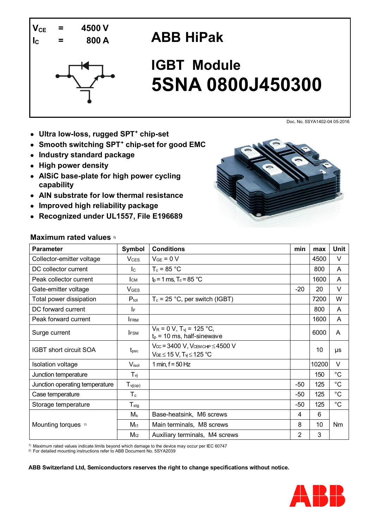

# **ABB HiPak**



# **IGBT Module 5SNA 0800J450300**

Doc. No. 5SYA1402-04 05-2016

- **Ultra low-loss, rugged SPT<sup>+</sup> chip-set**
- **Smooth switching SPT<sup>+</sup> chip-set for good EMC**
- **Industry standard package**
- **High power density**
- **AlSiC base-plate for high power cycling capability**
- **AlN substrate for low thermal resistance**
- **Improved high reliability package**
- **Recognized under UL1557, File E196689**

### **Maximum rated values 1)**



1) Maximum rated values indicate limits beyond which damage to the device may occur per IEC 60747

2) For detailed mounting instructions refer to ABB Document No. 5SYA2039



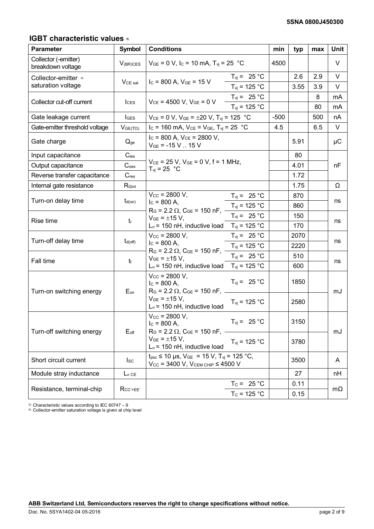### **IGBT characteristic values 3)**

| <b>Parameter</b>                          | <b>Symbol</b>       | <b>Conditions</b>                                                                                                                                                                                  |                                 |        | typ  | max | <b>Unit</b> |
|-------------------------------------------|---------------------|----------------------------------------------------------------------------------------------------------------------------------------------------------------------------------------------------|---------------------------------|--------|------|-----|-------------|
| Collector (-emitter)<br>breakdown voltage | $V_{(BR)CES}$       | $V_{GE} = 0$ V, I <sub>C</sub> = 10 mA, T <sub>vj</sub> = 25 °C                                                                                                                                    |                                 | 4500   |      |     | V           |
| Collector-emitter 4)                      |                     | $T_{\text{vj}} = 25 \text{ °C}$<br>$I_c = 800$ A, $V_{GE} = 15$ V                                                                                                                                  |                                 |        | 2.6  | 2.9 | V           |
| saturation voltage                        | <b>V</b> CE sat     |                                                                                                                                                                                                    | $T_{vi}$ = 125 °C               |        | 3.55 | 3.9 | V           |
|                                           |                     |                                                                                                                                                                                                    | $T_{\text{vj}} = 25 \text{ °C}$ |        |      | 8   | mA          |
| Collector cut-off current                 | <b>ICES</b>         | $V_{CE}$ = 4500 V, $V_{GE}$ = 0 V                                                                                                                                                                  | $T_{vi}$ = 125 °C               |        |      | 80  | mA          |
| Gate leakage current                      | <b>IGES</b>         | $V_{CE} = 0 V$ , $V_{GE} = \pm 20 V$ , $T_{vj} = 125 °C$                                                                                                                                           |                                 | $-500$ |      | 500 | nA          |
| Gate-emitter threshold voltage            | V <sub>GE(TO)</sub> | I <sub>C</sub> = 160 mA, $V_{CE}$ = $V_{GE}$ , T <sub>vj</sub> = 25 °C                                                                                                                             |                                 | 4.5    |      | 6.5 | V           |
| Gate charge                               | $Q_{ge}$            | $I_c$ = 800 A, $V_{CE}$ = 2800 V,<br>$V_{GE}$ = -15 V  15 V                                                                                                                                        |                                 |        | 5.91 |     | μC          |
| Input capacitance                         | $C_{\text{ies}}$    |                                                                                                                                                                                                    |                                 |        | 80   |     |             |
| Output capacitance                        | C <sub>oes</sub>    | $V_{CE}$ = 25 V, $V_{GE}$ = 0 V, f = 1 MHz,<br>$T_{\rm vi}$ = 25 °C                                                                                                                                |                                 |        | 4.01 |     | nF          |
| Reverse transfer capacitance              | $C_{res}$           |                                                                                                                                                                                                    |                                 |        | 1.72 |     |             |
| Internal gate resistance                  | $R_{\text{Gint}}$   |                                                                                                                                                                                                    |                                 |        | 1.75 |     | Ω           |
|                                           | $t_{d(on)}$         | $V_{\text{CC}}$ = 2800 V,<br>$I_c = 800 A$ ,                                                                                                                                                       | $T_{vi} = 25 °C$                |        | 870  |     |             |
| Turn-on delay time                        |                     |                                                                                                                                                                                                    | $T_{\text{vj}}$ = 125 °C        |        | 860  |     | ns          |
| Rise time                                 | $t_{\rm r}$         | $R_G$ = 2.2 $\Omega$ , $C_{GE}$ = 150 nF,<br>$V_{GE} = \pm 15 V$ ,                                                                                                                                 | $T_{vi}$ = 25 °C                |        | 150  |     |             |
|                                           |                     | $L_{\sigma}$ = 150 nH, inductive load $T_{\text{vi}}$ = 125 °C                                                                                                                                     |                                 |        | 170  |     | ns          |
|                                           |                     | $V_{\text{CC}}$ = 2800 V,                                                                                                                                                                          | $T_{\text{vj}} = 25 \text{ °C}$ |        | 2070 |     |             |
| Turn-off delay time                       | $t_{d(\text{off})}$ | $I_c = 800 A$ ,<br>$R_G$ = 2.2 $\Omega$ , $C_{GE}$ = 150 nF,                                                                                                                                       | $T_{vi}$ = 125 °C               |        | 2220 |     | ns          |
| Fall time                                 | $t_{\rm f}$         | $V_{GE} = \pm 15 V,$                                                                                                                                                                               | $T_{vi}$ = 25 °C                |        | 510  |     |             |
|                                           |                     | $L_{\sigma}$ = 150 nH, inductive load T <sub>vj</sub> = 125 °C                                                                                                                                     |                                 |        | 600  |     | ns          |
| Turn-on switching energy                  | $E_{on}$            | $V_{\text{CC}} = 2800 \text{ V}$ ,<br>$I_c = 800 A$ ,<br>$R_G$ = 2.2 $\Omega$ , $C_{GE}$ = 150 nF, ___                                                                                             | $T_{vi}$ = 25 °C                |        | 1850 |     | mJ          |
|                                           |                     | $V_{GE} = \pm 15 V,$<br>$T_{\text{vj}}$ = 125 °C<br>$L_{\sigma}$ = 150 nH, inductive load                                                                                                          |                                 |        | 2580 |     |             |
| Turn-off switching energy                 | $E_{\text{off}}$    | $V_{\text{CC}}$ = 2800 V,<br>$T_{vi} = 25 °C$<br>$I_c = 800$ A,<br>$R_G$ = 2.2 $\Omega$ , $C_{GE}$ = 150 nF,<br>$V_{GE} = \pm 15 V,$<br>$T_{vi}$ = 125 °C<br>$L_{\sigma}$ = 150 nH, inductive load |                                 |        | 3150 |     |             |
|                                           |                     |                                                                                                                                                                                                    |                                 |        | 3780 |     | mJ          |
| Short circuit current                     | $I_{SC}$            | $t_{\text{psc}} \le 10 \text{ }\mu\text{s}, \text{ } V_{\text{GE}} = 15 \text{ V}, T_{\text{vj}} = 125 \text{ }^{\circ}\text{C},$<br>$V_{CC}$ = 3400 V, $V_{CEM CHIP}$ $\leq$ 4500 V               |                                 |        | 3500 |     | A           |
| Module stray inductance                   | $L_{\sigma}$ ce     |                                                                                                                                                                                                    |                                 |        | 27   |     | nН          |
| Resistance, terminal-chip                 | $R_{CC' + EE'}$     |                                                                                                                                                                                                    | $T_c = 25 °C$                   |        | 0.11 |     |             |
|                                           |                     |                                                                                                                                                                                                    | $T_c = 125 °C$                  |        | 0.15 |     | $m\Omega$   |

3) Characteristic values according to IEC 60747 – 9 4) Collector-emitter saturation voltage is given at chip level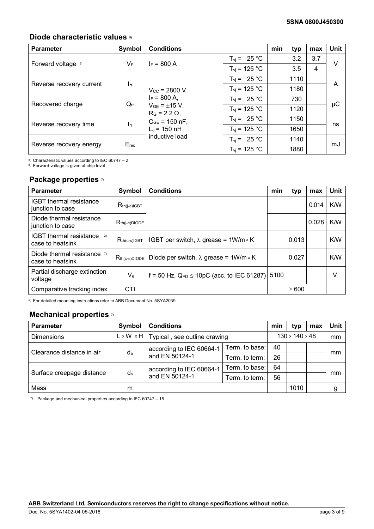### **Diode characteristic values 5)**

| <b>Parameter</b>         | Symbol          | <b>Conditions</b>                             |                                 | min | typ  | max | Unit   |
|--------------------------|-----------------|-----------------------------------------------|---------------------------------|-----|------|-----|--------|
|                          | $V_F$           | $I_F = 800 A$                                 | $T_{\text{vj}} = 25 \text{ °C}$ |     | 3.2  | 3.7 | $\vee$ |
| Forward voltage 6)       |                 |                                               | $T_{vi}$ = 125 °C               |     | 3.5  | 4   |        |
| Reverse recovery current |                 |                                               | $T_{\text{vj}} = 25 \text{ °C}$ |     | 1110 |     | A      |
|                          | $\mathsf{I}$ rr | $V_{\text{CC}}$ = 2800 V,                     | $T_{\text{vj}}$ = 125 °C        |     | 1180 |     |        |
| Recovered charge         | $Q_{rr}$        | $I_F = 800 A$ .                               | $T_{\text{vj}} = 25 \text{ °C}$ |     | 730  |     | μC     |
|                          |                 | $V_{GE} = \pm 15 V$ ,<br>$R_G = 2.2 \Omega$ , | $T_{\text{vj}}$ = 125 °C        |     | 1120 |     |        |
| Reverse recovery time    | $t_{rr}$        | $C_{GE}$ = 150 nF,<br>$L_{\sigma}$ = 150 nH   | $T_{\text{vj}} = 25 \text{ °C}$ |     | 1150 |     | ns     |
|                          |                 |                                               | $T_{vi}$ = 125 °C               |     | 1650 |     |        |
| Reverse recovery energy  |                 | inductive load                                | $T_{\text{vj}} = 25 \text{ °C}$ |     | 1140 |     |        |
|                          | $E_{rec}$       |                                               | $T_{vi}$ = 125 °C               |     | 1880 |     | mJ     |

5) Characteristic values according to IEC 60747 – 2

6) Forward voltage is given at chip level

#### **Package properties 7)**

| <b>Parameter</b>                                         | Symbol             | <b>Conditions</b>                                | min  | typ        | max   | <b>Unit</b> |
|----------------------------------------------------------|--------------------|--------------------------------------------------|------|------------|-------|-------------|
| IGBT thermal resistance<br>junction to case              | $R_{th(j-c)IGBT}$  |                                                  |      |            | 0.014 | K/W         |
| Diode thermal resistance<br>junction to case             | $R_{th(j-c)DIODE}$ |                                                  |      |            | 0.028 | K/W         |
| <b>IGBT</b> thermal resistance<br>2)<br>case to heatsink | $R_{th(c-s)IGBT}$  | IGBT per switch, $\lambda$ grease = 1W/m × K     |      | 0.013      |       | K/W         |
| Diode thermal resistance $\eta$<br>case to heatsink      | $R_{th(c-s)DIODE}$ | Diode per switch, $\lambda$ grease = 1W/m × K    |      | 0.027      |       | K/W         |
| Partial discharge extinction<br>voltage                  | $V_{e}$            | f = 50 Hz, $Q_{PD} \le 10pC$ (acc. to IEC 61287) | 5100 |            |       | v           |
| Comparative tracking index                               | <b>CTI</b>         |                                                  |      | $\geq 600$ |       |             |

2) For detailed mounting instructions refer to ABB Document No. 5SYA2039

## **Mechanical properties 7)**

| <b>Parameter</b>          | Symbol                | <b>Conditions</b>                          |                |    | typ                        | max | Unit |
|---------------------------|-----------------------|--------------------------------------------|----------------|----|----------------------------|-----|------|
| <b>Dimensions</b>         | $L \times W \times H$ | Typical, see outline drawing               |                |    | $130 \times 140 \times 48$ |     | mm   |
| Clearance distance in air | $d_{a}$               | according to IEC 60664-1<br>and EN 50124-1 | Term. to base: | 40 |                            |     | mm   |
|                           |                       |                                            | Term, to term: | 26 |                            |     |      |
| Surface creepage distance | ds                    | according to IEC 60664-1<br>and EN 50124-1 | Term. to base: | 64 |                            |     |      |
|                           |                       |                                            | Term, to term: | 56 |                            |     | mm   |
| Mass                      | m                     |                                            |                |    | 1010                       |     | g    |

 $7)$  Package and mechanical properties according to IEC 60747 – 15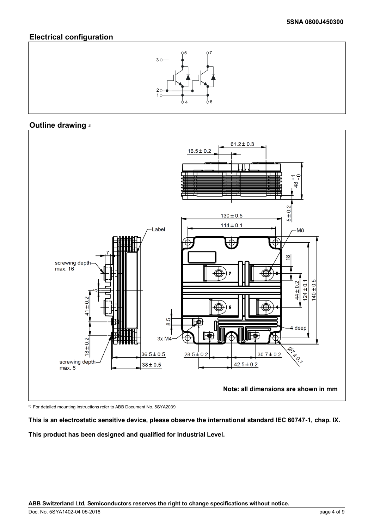### **Electrical configuration**



### **Outline drawing** 2)



2) For detailed mounting instructions refer to ABB Document No. 5SYA2039

**This is an electrostatic sensitive device, please observe the international standard IEC 60747-1, chap. IX.**

**This product has been designed and qualified for Industrial Level.**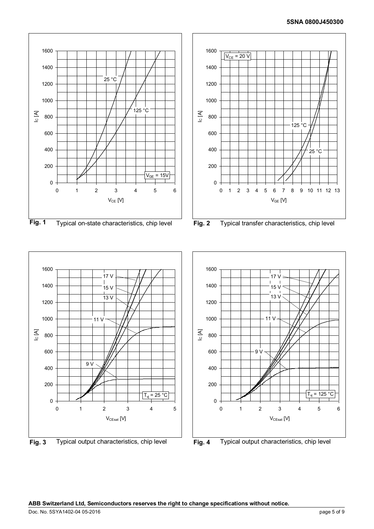





**Fig. 3** Typical output characteristics, chip level **Fig. 4** Typical output characteristics, chip level

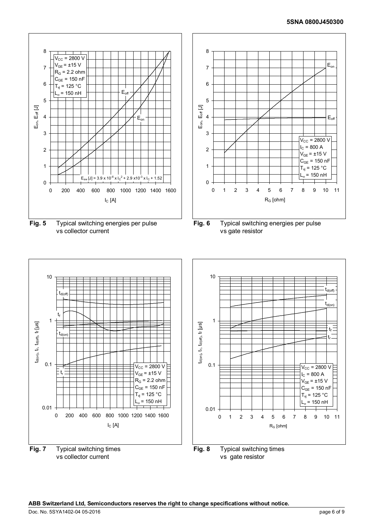#### **5SNA 0800J450300**



vs collector current







vs gate resistor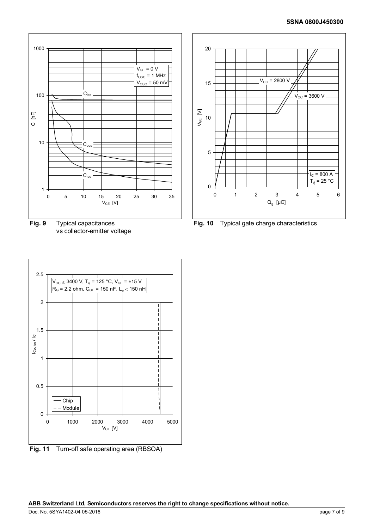

**Fig. 9** Typical capacitances vs collector-emitter voltage



**Fig. 11** Turn-off safe operating area (RBSOA)



**Fig. 10** Typical gate charge characteristics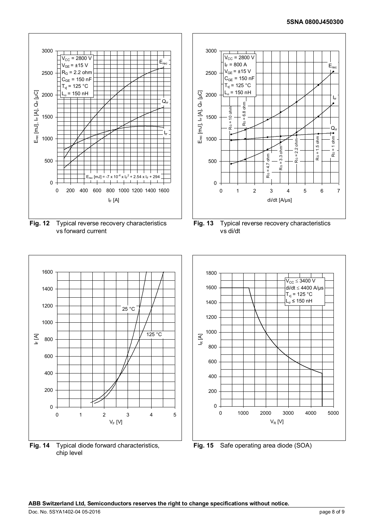



**Fig. 14** Typical diode forward characteristics, chip level

vs di/dt



**Fig. 15** Safe operating area diode (SOA)